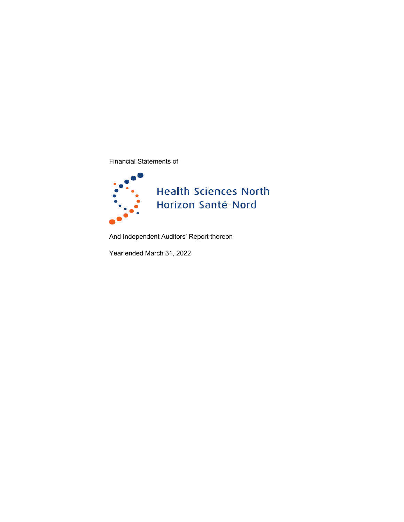Financial Statements of



And Independent Auditors' Report thereon

Year ended March 31, 2022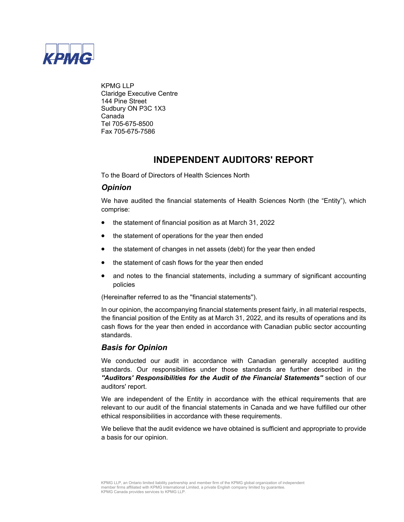

KPMG LLP Claridge Executive Centre 144 Pine Street Sudbury ON P3C 1X3 Canada Tel 705-675-8500 Fax 705-675-7586

### **INDEPENDENT AUDITORS' REPORT**

To the Board of Directors of Health Sciences North

### *Opinion*

We have audited the financial statements of Health Sciences North (the "Entity"), which comprise:

- the statement of financial position as at March 31, 2022
- the statement of operations for the year then ended
- the statement of changes in net assets (debt) for the year then ended
- the statement of cash flows for the year then ended
- and notes to the financial statements, including a summary of significant accounting policies

(Hereinafter referred to as the ''financial statements'').

In our opinion, the accompanying financial statements present fairly, in all material respects, the financial position of the Entity as at March 31, 2022, and its results of operations and its cash flows for the year then ended in accordance with Canadian public sector accounting standards.

### *Basis for Opinion*

We conducted our audit in accordance with Canadian generally accepted auditing standards. Our responsibilities under those standards are further described in the *''Auditors' Responsibilities for the Audit of the Financial Statements''* section of our auditors' report.

We are independent of the Entity in accordance with the ethical requirements that are relevant to our audit of the financial statements in Canada and we have fulfilled our other ethical responsibilities in accordance with these requirements.

We believe that the audit evidence we have obtained is sufficient and appropriate to provide a basis for our opinion.

KPMG LLP, an Ontario limited liability partnership and member firm of the KPMG global organization of independent member firms affiliated with KPMG International Limited, a private English company limited by guarantee. KPMG Canada provides services to KPMG LLP.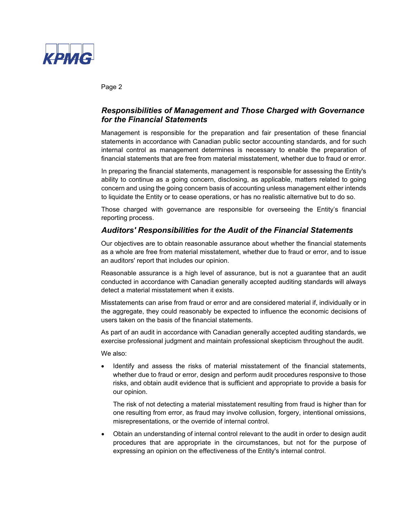

Page 2

### *Responsibilities of Management and Those Charged with Governance for the Financial Statements*

Management is responsible for the preparation and fair presentation of these financial statements in accordance with Canadian public sector accounting standards, and for such internal control as management determines is necessary to enable the preparation of financial statements that are free from material misstatement, whether due to fraud or error.

In preparing the financial statements, management is responsible for assessing the Entity's ability to continue as a going concern, disclosing, as applicable, matters related to going concern and using the going concern basis of accounting unless management either intends to liquidate the Entity or to cease operations, or has no realistic alternative but to do so.

Those charged with governance are responsible for overseeing the Entity's financial reporting process.

### *Auditors' Responsibilities for the Audit of the Financial Statements*

Our objectives are to obtain reasonable assurance about whether the financial statements as a whole are free from material misstatement, whether due to fraud or error, and to issue an auditors' report that includes our opinion.

Reasonable assurance is a high level of assurance, but is not a guarantee that an audit conducted in accordance with Canadian generally accepted auditing standards will always detect a material misstatement when it exists.

Misstatements can arise from fraud or error and are considered material if, individually or in the aggregate, they could reasonably be expected to influence the economic decisions of users taken on the basis of the financial statements.

As part of an audit in accordance with Canadian generally accepted auditing standards, we exercise professional judgment and maintain professional skepticism throughout the audit.

We also:

 Identify and assess the risks of material misstatement of the financial statements, whether due to fraud or error, design and perform audit procedures responsive to those risks, and obtain audit evidence that is sufficient and appropriate to provide a basis for our opinion.

The risk of not detecting a material misstatement resulting from fraud is higher than for one resulting from error, as fraud may involve collusion, forgery, intentional omissions, misrepresentations, or the override of internal control.

 Obtain an understanding of internal control relevant to the audit in order to design audit procedures that are appropriate in the circumstances, but not for the purpose of expressing an opinion on the effectiveness of the Entity's internal control.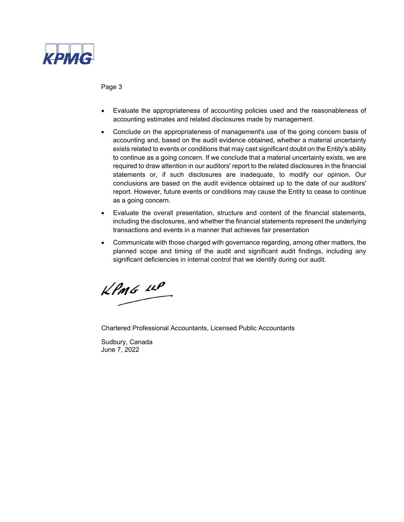

Page 3

- Evaluate the appropriateness of accounting policies used and the reasonableness of accounting estimates and related disclosures made by management.
- Conclude on the appropriateness of management's use of the going concern basis of accounting and, based on the audit evidence obtained, whether a material uncertainty exists related to events or conditions that may cast significant doubt on the Entity's ability to continue as a going concern. If we conclude that a material uncertainty exists, we are required to draw attention in our auditors' report to the related disclosures in the financial statements or, if such disclosures are inadequate, to modify our opinion. Our conclusions are based on the audit evidence obtained up to the date of our auditors' report. However, future events or conditions may cause the Entity to cease to continue as a going concern.
- Evaluate the overall presentation, structure and content of the financial statements, including the disclosures, and whether the financial statements represent the underlying transactions and events in a manner that achieves fair presentation
- Communicate with those charged with governance regarding, among other matters, the planned scope and timing of the audit and significant audit findings, including any significant deficiencies in internal control that we identify during our audit.

 $KPMG$  14P

Chartered Professional Accountants, Licensed Public Accountants

Sudbury, Canada June 7, 2022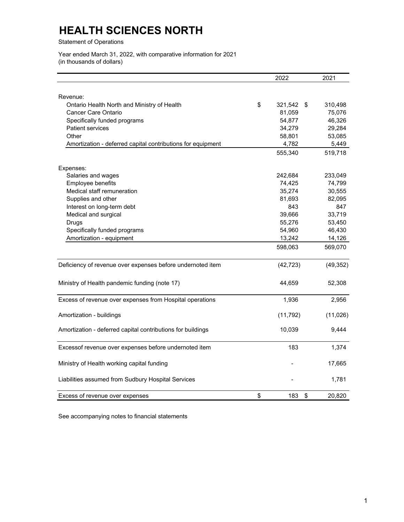Statement of Operations

Year ended March 31, 2022, with comparative information for 2021 (in thousands of dollars)

|                                                             | 2022          | 2021          |
|-------------------------------------------------------------|---------------|---------------|
|                                                             |               |               |
| Revenue:                                                    |               |               |
| Ontario Health North and Ministry of Health                 | \$<br>321,542 | \$<br>310,498 |
| <b>Cancer Care Ontario</b>                                  | 81,059        | 75,076        |
| Specifically funded programs                                | 54,877        | 46,326        |
| <b>Patient services</b>                                     | 34,279        | 29,284        |
| Other                                                       | 58,801        | 53,085        |
| Amortization - deferred capital contributions for equipment | 4,782         | 5,449         |
|                                                             | 555,340       | 519,718       |
| Expenses:                                                   |               |               |
| Salaries and wages                                          | 242,684       | 233,049       |
| Employee benefits                                           | 74,425        | 74,799        |
| Medical staff remuneration                                  | 35,274        | 30,555        |
| Supplies and other                                          | 81,693        | 82,095        |
| Interest on long-term debt                                  | 843           | 847           |
| Medical and surgical                                        | 39,666        | 33,719        |
| Drugs                                                       | 55,276        | 53,450        |
| Specifically funded programs                                | 54,960        | 46,430        |
| Amortization - equipment                                    | 13,242        | 14,126        |
|                                                             | 598,063       | 569,070       |
| Deficiency of revenue over expenses before undernoted item  | (42, 723)     | (49, 352)     |
| Ministry of Health pandemic funding (note 17)               | 44,659        | 52,308        |
| Excess of revenue over expenses from Hospital operations    | 1,936         | 2,956         |
| Amortization - buildings                                    | (11, 792)     | (11,026)      |
| Amortization - deferred capital contributions for buildings | 10,039        | 9,444         |
| Excessof revenue over expenses before undernoted item       | 183           | 1,374         |
| Ministry of Health working capital funding                  |               | 17,665        |
| Liabilities assumed from Sudbury Hospital Services          |               | 1,781         |
| Excess of revenue over expenses                             | \$<br>183     | \$<br>20,820  |
|                                                             |               |               |

See accompanying notes to financial statements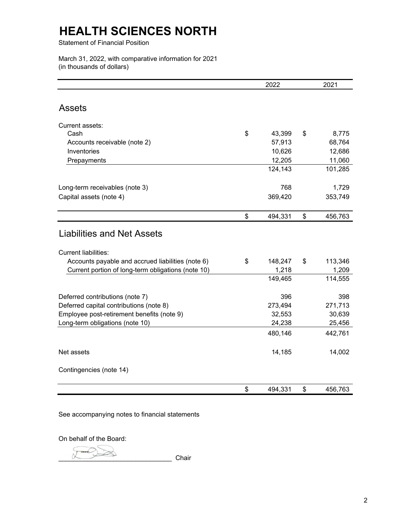Statement of Financial Position

March 31, 2022, with comparative information for 2021 (in thousands of dollars)

|                                                    | 2022          | 2021          |
|----------------------------------------------------|---------------|---------------|
| <b>Assets</b>                                      |               |               |
| Current assets:                                    |               |               |
| Cash                                               | \$<br>43,399  | \$<br>8,775   |
| Accounts receivable (note 2)                       | 57,913        | 68,764        |
| Inventories                                        | 10,626        | 12,686        |
| Prepayments                                        | 12,205        | 11,060        |
|                                                    | 124,143       | 101,285       |
| Long-term receivables (note 3)                     | 768           | 1,729         |
| Capital assets (note 4)                            | 369,420       | 353,749       |
|                                                    | \$<br>494,331 | \$<br>456,763 |
| <b>Liabilities and Net Assets</b>                  |               |               |
| <b>Current liabilities:</b>                        |               |               |
| Accounts payable and accrued liabilities (note 6)  | \$<br>148,247 | \$<br>113,346 |
| Current portion of long-term obligations (note 10) | 1,218         | 1,209         |
|                                                    | 149,465       | 114,555       |
| Deferred contributions (note 7)                    | 396           | 398           |
| Deferred capital contributions (note 8)            | 273,494       | 271,713       |
| Employee post-retirement benefits (note 9)         | 32,553        | 30,639        |
| Long-term obligations (note 10)                    | 24,238        | 25,456        |
|                                                    | 480,146       | 442,761       |
| Net assets                                         | 14,185        | 14,002        |
| Contingencies (note 14)                            |               |               |
|                                                    | \$<br>494,331 | \$<br>456,763 |

See accompanying notes to financial statements

On behalf of the Board:

 $\sqrt{2\pi}$  Chair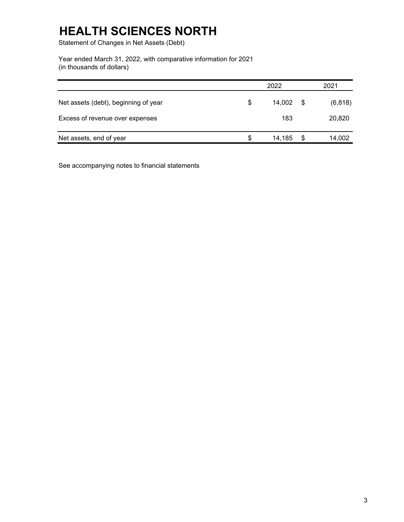Statement of Changes in Net Assets (Debt)

Year ended March 31, 2022, with comparative information for 2021 (in thousands of dollars)

|                                      | 2022         | 2021 |          |
|--------------------------------------|--------------|------|----------|
| Net assets (debt), beginning of year | \$<br>14.002 | - \$ | (6, 818) |
| Excess of revenue over expenses      | 183          |      | 20,820   |
| Net assets, end of year              | \$<br>14,185 | \$   | 14,002   |

See accompanying notes to financial statements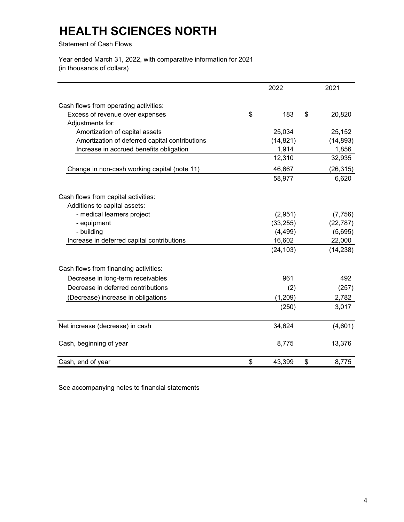Statement of Cash Flows

Year ended March 31, 2022, with comparative information for 2021 (in thousands of dollars)

|                                                | 2022               | 2021      |
|------------------------------------------------|--------------------|-----------|
| Cash flows from operating activities:          |                    |           |
| Excess of revenue over expenses                | \$<br>183<br>\$    | 20,820    |
| Adjustments for:                               |                    |           |
| Amortization of capital assets                 | 25,034             | 25,152    |
| Amortization of deferred capital contributions | (14, 821)          | (14, 893) |
| Increase in accrued benefits obligation        | 1,914              | 1,856     |
|                                                | 12,310             | 32,935    |
| Change in non-cash working capital (note 11)   | 46,667             | (26, 315) |
|                                                | 58,977             | 6,620     |
| Cash flows from capital activities:            |                    |           |
| Additions to capital assets:                   |                    |           |
| - medical learners project                     | (2,951)            | (7, 756)  |
| - equipment                                    | (33, 255)          | (22, 787) |
| - building                                     | (4, 499)           | (5,695)   |
| Increase in deferred capital contributions     | 16,602             | 22,000    |
|                                                | (24, 103)          | (14, 238) |
| Cash flows from financing activities:          |                    |           |
| Decrease in long-term receivables              | 961                | 492       |
| Decrease in deferred contributions             | (2)                | (257)     |
| (Decrease) increase in obligations             | (1, 209)           | 2,782     |
|                                                | (250)              | 3,017     |
| Net increase (decrease) in cash                | 34,624             | (4,601)   |
| Cash, beginning of year                        | 8,775              | 13,376    |
| Cash, end of year                              | \$<br>43,399<br>\$ | 8,775     |

See accompanying notes to financial statements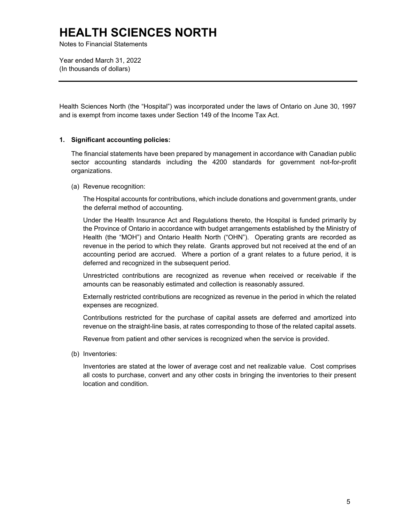Notes to Financial Statements

Year ended March 31, 2022 (In thousands of dollars)

Health Sciences North (the "Hospital") was incorporated under the laws of Ontario on June 30, 1997 and is exempt from income taxes under Section 149 of the Income Tax Act.

### **1. Significant accounting policies:**

The financial statements have been prepared by management in accordance with Canadian public sector accounting standards including the 4200 standards for government not-for-profit organizations.

(a) Revenue recognition:

The Hospital accounts for contributions, which include donations and government grants, under the deferral method of accounting.

Under the Health Insurance Act and Regulations thereto, the Hospital is funded primarily by the Province of Ontario in accordance with budget arrangements established by the Ministry of Health (the "MOH") and Ontario Health North ("OHN"). Operating grants are recorded as revenue in the period to which they relate. Grants approved but not received at the end of an accounting period are accrued. Where a portion of a grant relates to a future period, it is deferred and recognized in the subsequent period.

Unrestricted contributions are recognized as revenue when received or receivable if the amounts can be reasonably estimated and collection is reasonably assured.

Externally restricted contributions are recognized as revenue in the period in which the related expenses are recognized.

Contributions restricted for the purchase of capital assets are deferred and amortized into revenue on the straight-line basis, at rates corresponding to those of the related capital assets.

Revenue from patient and other services is recognized when the service is provided.

(b) Inventories:

Inventories are stated at the lower of average cost and net realizable value. Cost comprises all costs to purchase, convert and any other costs in bringing the inventories to their present location and condition.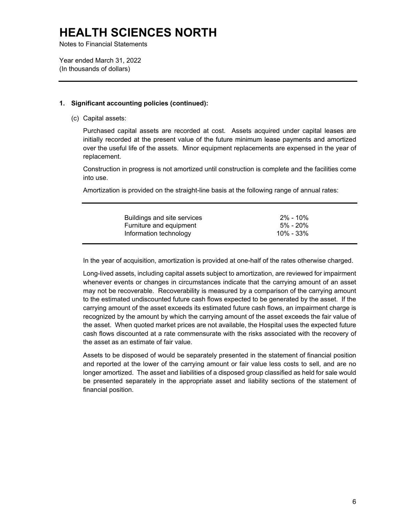Notes to Financial Statements

Year ended March 31, 2022 (In thousands of dollars)

#### **1. Significant accounting policies (continued):**

(c) Capital assets:

Purchased capital assets are recorded at cost. Assets acquired under capital leases are initially recorded at the present value of the future minimum lease payments and amortized over the useful life of the assets. Minor equipment replacements are expensed in the year of replacement.

Construction in progress is not amortized until construction is complete and the facilities come into use.

Amortization is provided on the straight-line basis at the following range of annual rates:

| Buildings and site services | 2% - 10%  |  |
|-----------------------------|-----------|--|
| Furniture and equipment     | 5% - 20%  |  |
| Information technology      | 10% - 33% |  |
|                             |           |  |

In the year of acquisition, amortization is provided at one-half of the rates otherwise charged.

Long-lived assets, including capital assets subject to amortization, are reviewed for impairment whenever events or changes in circumstances indicate that the carrying amount of an asset may not be recoverable. Recoverability is measured by a comparison of the carrying amount to the estimated undiscounted future cash flows expected to be generated by the asset. If the carrying amount of the asset exceeds its estimated future cash flows, an impairment charge is recognized by the amount by which the carrying amount of the asset exceeds the fair value of the asset. When quoted market prices are not available, the Hospital uses the expected future cash flows discounted at a rate commensurate with the risks associated with the recovery of the asset as an estimate of fair value.

Assets to be disposed of would be separately presented in the statement of financial position and reported at the lower of the carrying amount or fair value less costs to sell, and are no longer amortized. The asset and liabilities of a disposed group classified as held for sale would be presented separately in the appropriate asset and liability sections of the statement of financial position.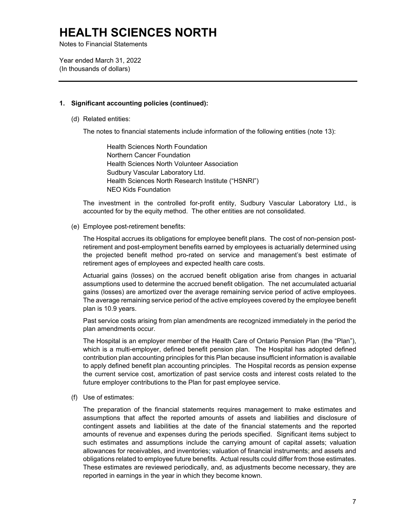Notes to Financial Statements

Year ended March 31, 2022 (In thousands of dollars)

#### **1. Significant accounting policies (continued):**

(d) Related entities:

The notes to financial statements include information of the following entities (note 13):

Health Sciences North Foundation Northern Cancer Foundation Health Sciences North Volunteer Association Sudbury Vascular Laboratory Ltd. Health Sciences North Research Institute ("HSNRI") NEO Kids Foundation

The investment in the controlled for-profit entity, Sudbury Vascular Laboratory Ltd., is accounted for by the equity method. The other entities are not consolidated.

(e) Employee post-retirement benefits:

The Hospital accrues its obligations for employee benefit plans. The cost of non-pension postretirement and post-employment benefits earned by employees is actuarially determined using the projected benefit method pro-rated on service and management's best estimate of retirement ages of employees and expected health care costs.

Actuarial gains (losses) on the accrued benefit obligation arise from changes in actuarial assumptions used to determine the accrued benefit obligation. The net accumulated actuarial gains (losses) are amortized over the average remaining service period of active employees. The average remaining service period of the active employees covered by the employee benefit plan is 10.9 years.

Past service costs arising from plan amendments are recognized immediately in the period the plan amendments occur.

The Hospital is an employer member of the Health Care of Ontario Pension Plan (the "Plan"), which is a multi-employer, defined benefit pension plan. The Hospital has adopted defined contribution plan accounting principles for this Plan because insufficient information is available to apply defined benefit plan accounting principles. The Hospital records as pension expense the current service cost, amortization of past service costs and interest costs related to the future employer contributions to the Plan for past employee service.

(f) Use of estimates:

The preparation of the financial statements requires management to make estimates and assumptions that affect the reported amounts of assets and liabilities and disclosure of contingent assets and liabilities at the date of the financial statements and the reported amounts of revenue and expenses during the periods specified. Significant items subject to such estimates and assumptions include the carrying amount of capital assets; valuation allowances for receivables, and inventories; valuation of financial instruments; and assets and obligations related to employee future benefits. Actual results could differ from those estimates. These estimates are reviewed periodically, and, as adjustments become necessary, they are reported in earnings in the year in which they become known.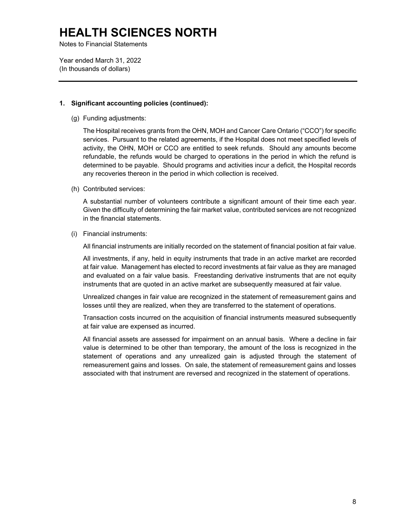Notes to Financial Statements

Year ended March 31, 2022 (In thousands of dollars)

#### **1. Significant accounting policies (continued):**

(g) Funding adjustments:

The Hospital receives grants from the OHN, MOH and Cancer Care Ontario ("CCO") for specific services. Pursuant to the related agreements, if the Hospital does not meet specified levels of activity, the OHN, MOH or CCO are entitled to seek refunds. Should any amounts become refundable, the refunds would be charged to operations in the period in which the refund is determined to be payable. Should programs and activities incur a deficit, the Hospital records any recoveries thereon in the period in which collection is received.

(h) Contributed services:

A substantial number of volunteers contribute a significant amount of their time each year. Given the difficulty of determining the fair market value, contributed services are not recognized in the financial statements.

(i) Financial instruments:

All financial instruments are initially recorded on the statement of financial position at fair value.

All investments, if any, held in equity instruments that trade in an active market are recorded at fair value. Management has elected to record investments at fair value as they are managed and evaluated on a fair value basis. Freestanding derivative instruments that are not equity instruments that are quoted in an active market are subsequently measured at fair value.

Unrealized changes in fair value are recognized in the statement of remeasurement gains and losses until they are realized, when they are transferred to the statement of operations.

Transaction costs incurred on the acquisition of financial instruments measured subsequently at fair value are expensed as incurred.

All financial assets are assessed for impairment on an annual basis. Where a decline in fair value is determined to be other than temporary, the amount of the loss is recognized in the statement of operations and any unrealized gain is adjusted through the statement of remeasurement gains and losses. On sale, the statement of remeasurement gains and losses associated with that instrument are reversed and recognized in the statement of operations.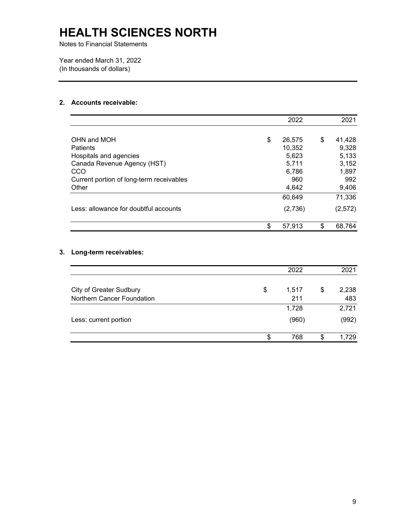Notes to Financial Statements

Year ended March 31, 2022 (In thousands of dollars)

### **2. Accounts receivable:**

|                                          | 2022         | 2021         |
|------------------------------------------|--------------|--------------|
|                                          |              |              |
| OHN and MOH                              | \$<br>26,575 | \$<br>41,428 |
| <b>Patients</b>                          | 10,352       | 9,328        |
| Hospitals and agencies                   | 5,623        | 5,133        |
| Canada Revenue Agency (HST)              | 5,711        | 3,152        |
| CCO                                      | 6,786        | 1,897        |
| Current portion of long-term receivables | 960          | 992          |
| Other                                    | 4,642        | 9,406        |
|                                          | 60,649       | 71,336       |
| Less: allowance for doubtful accounts    | (2,736)      | (2, 572)     |
|                                          | \$<br>57,913 | \$<br>68,764 |

### **3. Long-term receivables:**

|                                |    | 2022  |    | 2021  |
|--------------------------------|----|-------|----|-------|
| <b>City of Greater Sudbury</b> | \$ | 1,517 | \$ | 2,238 |
| Northern Cancer Foundation     |    | 211   |    | 483   |
|                                |    | 1,728 |    | 2,721 |
| Less: current portion          |    | (960) |    | (992) |
|                                | S  | 768   | S  | 1,729 |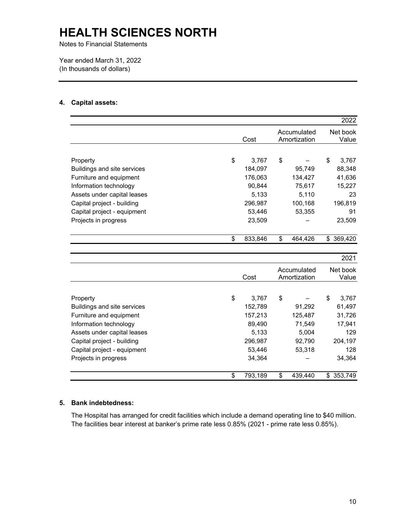Notes to Financial Statements

Year ended March 31, 2022 (In thousands of dollars)

#### **4. Capital assets:**

|               |               |                             | 2022              |
|---------------|---------------|-----------------------------|-------------------|
| Cost          |               |                             | Net book<br>Value |
| \$<br>3,767   | \$            | \$                          | 3,767             |
| 184,097       | 95,749        |                             | 88,348            |
| 176,063       | 134,427       |                             | 41,636            |
| 90,844        | 75,617        |                             | 15,227            |
| 5.133         | 5,110         |                             | 23                |
| 296,987       | 100,168       |                             | 196,819           |
| 53,446        | 53,355        |                             | 91                |
| 23,509        |               |                             | 23,509            |
| \$<br>833,846 | \$<br>464,426 | \$                          | 369,420           |
|               |               | Accumulated<br>Amortization |                   |

|                             |               |                             | 2021              |
|-----------------------------|---------------|-----------------------------|-------------------|
|                             | Cost          | Accumulated<br>Amortization | Net book<br>Value |
| Property                    | \$<br>3.767   | \$                          | \$<br>3.767       |
| Buildings and site services | 152,789       | 91,292                      | 61,497            |
| Furniture and equipment     | 157,213       | 125,487                     | 31,726            |
| Information technology      | 89,490        | 71,549                      | 17,941            |
| Assets under capital leases | 5,133         | 5,004                       | 129               |
| Capital project - building  | 296,987       | 92,790                      | 204,197           |
| Capital project - equipment | 53,446        | 53,318                      | 128               |
| Projects in progress        | 34,364        |                             | 34,364            |
|                             | \$<br>793,189 | \$<br>439.440               | \$<br>353.749     |

### **5. Bank indebtedness:**

The Hospital has arranged for credit facilities which include a demand operating line to \$40 million. The facilities bear interest at banker's prime rate less 0.85% (2021 - prime rate less 0.85%).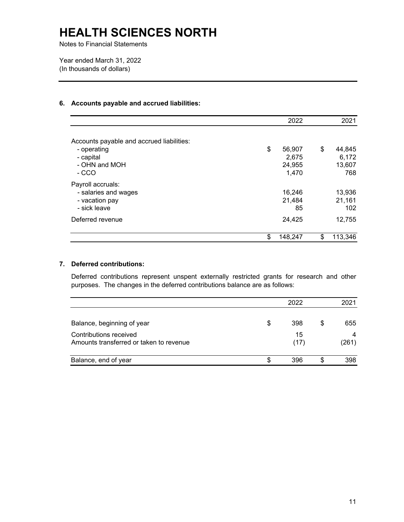Notes to Financial Statements

Year ended March 31, 2022 (In thousands of dollars)

#### **6. Accounts payable and accrued liabilities:**

|                                           | 2022          | 2021          |
|-------------------------------------------|---------------|---------------|
| Accounts payable and accrued liabilities: |               |               |
| - operating                               | \$<br>56,907  | \$<br>44,845  |
| - capital                                 | 2,675         | 6,172         |
| - OHN and MOH                             | 24,955        | 13,607        |
| - CCO                                     | 1,470         | 768           |
| Payroll accruals:                         |               |               |
| - salaries and wages                      | 16,246        | 13,936        |
| - vacation pay                            | 21,484        | 21,161        |
| - sick leave                              | 85            | 102           |
| Deferred revenue                          | 24,425        | 12,755        |
|                                           | \$<br>148,247 | \$<br>113,346 |

#### **7. Deferred contributions:**

Deferred contributions represent unspent externally restricted grants for research and other purposes. The changes in the deferred contributions balance are as follows:

|                                                                   | 2022       | 2021      |
|-------------------------------------------------------------------|------------|-----------|
|                                                                   |            |           |
| Balance, beginning of year                                        | \$<br>398  | \$<br>655 |
| Contributions received<br>Amounts transferred or taken to revenue | 15<br>(17) | (261)     |
| Balance, end of year                                              | 396        | 398       |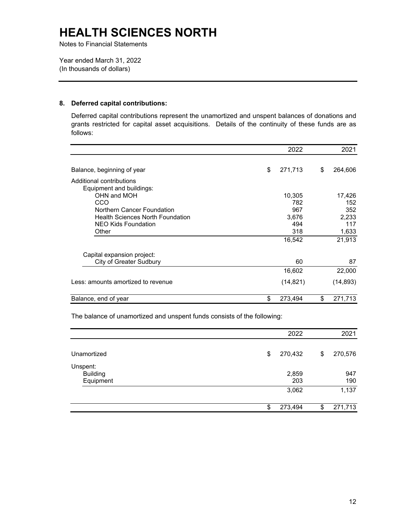Notes to Financial Statements

Year ended March 31, 2022 (In thousands of dollars)

#### **8. Deferred capital contributions:**

Deferred capital contributions represent the unamortized and unspent balances of donations and grants restricted for capital asset acquisitions. Details of the continuity of these funds are as follows:

|                                                      | 2022          | 2021          |
|------------------------------------------------------|---------------|---------------|
|                                                      | \$<br>271,713 | \$<br>264,606 |
| Balance, beginning of year                           |               |               |
| Additional contributions<br>Equipment and buildings: |               |               |
| OHN and MOH                                          | 10,305        | 17,426        |
| CCO                                                  | 782           | 152           |
| Northern Cancer Foundation                           | 967           | 352           |
| <b>Health Sciences North Foundation</b>              | 3,676         | 2,233         |
| <b>NEO Kids Foundation</b>                           | 494           | 117           |
| Other                                                | 318           | 1,633         |
|                                                      | 16,542        | 21,913        |
| Capital expansion project:                           |               |               |
| <b>City of Greater Sudbury</b>                       | 60            | 87            |
|                                                      | 16,602        | 22,000        |
| Less: amounts amortized to revenue                   | (14, 821)     | (14,893)      |
| Balance, end of year                                 | \$<br>273,494 | \$<br>271,713 |

The balance of unamortized and unspent funds consists of the following:

|                 | 2022          | 2021          |
|-----------------|---------------|---------------|
|                 |               |               |
| Unamortized     | 270,432<br>\$ | \$<br>270,576 |
| Unspent:        |               |               |
| <b>Building</b> | 2,859         | 947           |
| Equipment       | 203           | 190           |
|                 | 3,062         | 1,137         |
|                 | 273,494<br>\$ | \$<br>271,713 |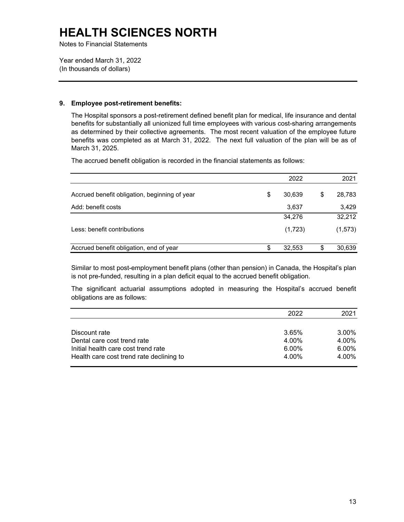Notes to Financial Statements

Year ended March 31, 2022 (In thousands of dollars)

#### **9. Employee post-retirement benefits:**

The Hospital sponsors a post-retirement defined benefit plan for medical, life insurance and dental benefits for substantially all unionized full time employees with various cost-sharing arrangements as determined by their collective agreements. The most recent valuation of the employee future benefits was completed as at March 31, 2022. The next full valuation of the plan will be as of March 31, 2025.

The accrued benefit obligation is recorded in the financial statements as follows:

|                                               | 2022         |    | 2021     |
|-----------------------------------------------|--------------|----|----------|
| Accrued benefit obligation, beginning of year | \$<br>30,639 | \$ | 28,783   |
| Add: benefit costs                            | 3,637        |    | 3,429    |
|                                               | 34,276       |    | 32,212   |
| Less: benefit contributions                   | (1,723)      |    | (1, 573) |
| Accrued benefit obligation, end of year       | \$<br>32,553 | S  | 30,639   |

Similar to most post-employment benefit plans (other than pension) in Canada, the Hospital's plan is not pre-funded, resulting in a plan deficit equal to the accrued benefit obligation.

The significant actuarial assumptions adopted in measuring the Hospital's accrued benefit obligations are as follows:

|                                          | 2022     | 2021     |
|------------------------------------------|----------|----------|
|                                          |          |          |
| Discount rate                            | 3.65%    | 3.00%    |
| Dental care cost trend rate              | 4.00%    | 4.00%    |
| Initial health care cost trend rate      | $6.00\%$ | $6.00\%$ |
| Health care cost trend rate declining to | 4.00%    | 4.00%    |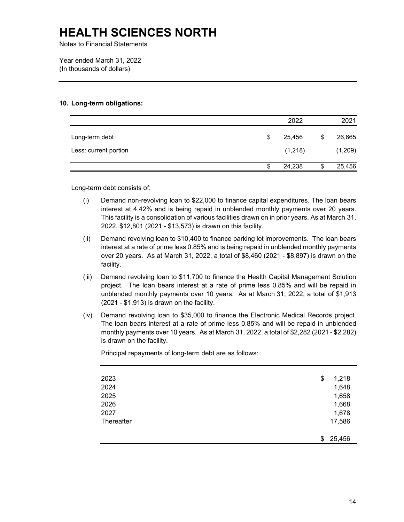Notes to Financial Statements

Year ended March 31, 2022 (In thousands of dollars)

#### **10. Long-term obligations:**

|                       |    | 2022    | 2021         |
|-----------------------|----|---------|--------------|
| Long-term debt        | \$ | 25,456  | \$<br>26,665 |
| Less: current portion |    | (1,218) | (1,209)      |
|                       | S  | 24,238  | \$<br>25,456 |

Long-term debt consists of:

- (i) Demand non-revolving loan to \$22,000 to finance capital expenditures. The loan bears interest at 4.42% and is being repaid in unblended monthly payments over 20 years. This facility is a consolidation of various facilities drawn on in prior years. As at March 31, 2022, \$12,801 (2021 - \$13,573) is drawn on this facility.
- (ii) Demand revolving loan to \$10,400 to finance parking lot improvements. The loan bears interest at a rate of prime less 0.85% and is being repaid in unblended monthly payments over 20 years. As at March 31, 2022, a total of \$8,460 (2021 - \$8,897) is drawn on the facility.
- (iii) Demand revolving loan to \$11,700 to finance the Health Capital Management Solution project. The loan bears interest at a rate of prime less 0.85% and will be repaid in unblended monthly payments over 10 years. As at March 31, 2022, a total of \$1,913 (2021 - \$1,913) is drawn on the facility.
- (iv) Demand revolving loan to \$35,000 to finance the Electronic Medical Records project. The loan bears interest at a rate of prime less 0.85% and will be repaid in unblended monthly payments over 10 years. As at March 31, 2022, a total of \$2,282 (2021 - \$2,282) is drawn on the facility.

Principal repayments of long-term debt are as follows:

| 2023       | \$<br>1,218  |
|------------|--------------|
| 2024       | 1,648        |
| 2025       | 1,658        |
| 2026       | 1,668        |
| 2027       | 1,678        |
| Thereafter | 17,586       |
|            |              |
|            | \$<br>25,456 |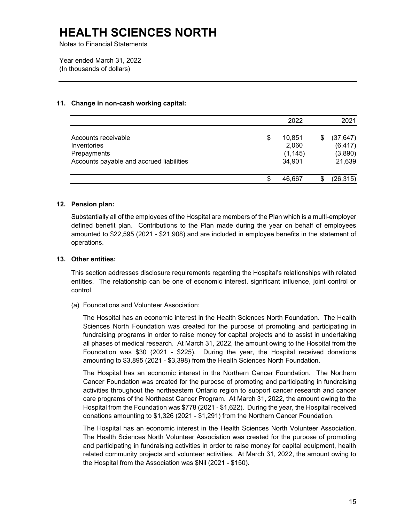Notes to Financial Statements

Year ended March 31, 2022 (In thousands of dollars)

#### **11. Change in non-cash working capital:**

|                                                                                               |    | 2022                                  | 2021                                       |
|-----------------------------------------------------------------------------------------------|----|---------------------------------------|--------------------------------------------|
| Accounts receivable<br>Inventories<br>Prepayments<br>Accounts payable and accrued liabilities | \$ | 10,851<br>2,060<br>(1, 145)<br>34,901 | (37, 647)<br>(6, 417)<br>(3,890)<br>21,639 |
|                                                                                               | S  | 46,667                                | (26, 315)                                  |

#### **12. Pension plan:**

Substantially all of the employees of the Hospital are members of the Plan which is a multi-employer defined benefit plan. Contributions to the Plan made during the year on behalf of employees amounted to \$22,595 (2021 - \$21,908) and are included in employee benefits in the statement of operations.

#### **13. Other entities:**

This section addresses disclosure requirements regarding the Hospital's relationships with related entities. The relationship can be one of economic interest, significant influence, joint control or control.

(a) Foundations and Volunteer Association:

The Hospital has an economic interest in the Health Sciences North Foundation. The Health Sciences North Foundation was created for the purpose of promoting and participating in fundraising programs in order to raise money for capital projects and to assist in undertaking all phases of medical research. At March 31, 2022, the amount owing to the Hospital from the Foundation was \$30 (2021 - \$225). During the year, the Hospital received donations amounting to \$3,895 (2021 - \$3,398) from the Health Sciences North Foundation.

The Hospital has an economic interest in the Northern Cancer Foundation. The Northern Cancer Foundation was created for the purpose of promoting and participating in fundraising activities throughout the northeastern Ontario region to support cancer research and cancer care programs of the Northeast Cancer Program. At March 31, 2022, the amount owing to the Hospital from the Foundation was \$778 (2021 - \$1,622). During the year, the Hospital received donations amounting to \$1,326 (2021 - \$1,291) from the Northern Cancer Foundation.

The Hospital has an economic interest in the Health Sciences North Volunteer Association. The Health Sciences North Volunteer Association was created for the purpose of promoting and participating in fundraising activities in order to raise money for capital equipment, health related community projects and volunteer activities. At March 31, 2022, the amount owing to the Hospital from the Association was \$Nil (2021 - \$150).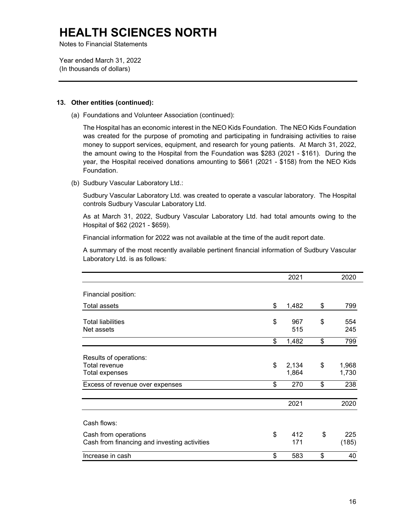Notes to Financial Statements

Year ended March 31, 2022 (In thousands of dollars)

#### **13. Other entities (continued):**

(a) Foundations and Volunteer Association (continued):

The Hospital has an economic interest in the NEO Kids Foundation. The NEO Kids Foundation was created for the purpose of promoting and participating in fundraising activities to raise money to support services, equipment, and research for young patients. At March 31, 2022, the amount owing to the Hospital from the Foundation was \$283 (2021 - \$161). During the year, the Hospital received donations amounting to \$661 (2021 - \$158) from the NEO Kids Foundation.

(b) Sudbury Vascular Laboratory Ltd.:

Sudbury Vascular Laboratory Ltd. was created to operate a vascular laboratory. The Hospital controls Sudbury Vascular Laboratory Ltd.

As at March 31, 2022, Sudbury Vascular Laboratory Ltd. had total amounts owing to the Hospital of \$62 (2021 - \$659).

Financial information for 2022 was not available at the time of the audit report date.

A summary of the most recently available pertinent financial information of Sudbury Vascular Laboratory Ltd. is as follows:

|                                              | 2021        | 2020        |
|----------------------------------------------|-------------|-------------|
| Financial position:                          |             |             |
| Total assets                                 | \$<br>1,482 | \$<br>799   |
|                                              |             |             |
| <b>Total liabilities</b>                     | \$<br>967   | \$<br>554   |
| Net assets                                   | 515         | 245         |
|                                              | \$<br>1,482 | \$<br>799   |
|                                              |             |             |
| Results of operations:                       |             |             |
| <b>Total revenue</b>                         | \$<br>2,134 | \$<br>1,968 |
| Total expenses                               | 1,864       | 1,730       |
| Excess of revenue over expenses              | \$<br>270   | \$<br>238   |
|                                              |             |             |
|                                              | 2021        | 2020        |
| Cash flows:                                  |             |             |
| Cash from operations                         | \$<br>412   | \$<br>225   |
| Cash from financing and investing activities | 171         | (185)       |
| Increase in cash                             | \$<br>583   | \$<br>40    |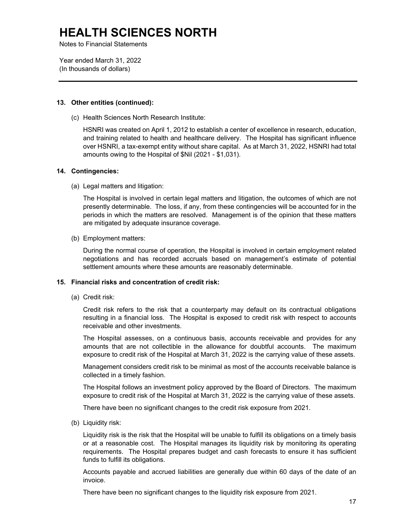Notes to Financial Statements

Year ended March 31, 2022 (In thousands of dollars)

#### **13. Other entities (continued):**

(c) Health Sciences North Research Institute:

HSNRI was created on April 1, 2012 to establish a center of excellence in research, education, and training related to health and healthcare delivery. The Hospital has significant influence over HSNRI, a tax-exempt entity without share capital. As at March 31, 2022, HSNRI had total amounts owing to the Hospital of \$Nil (2021 - \$1,031).

#### **14. Contingencies:**

(a) Legal matters and litigation:

The Hospital is involved in certain legal matters and litigation, the outcomes of which are not presently determinable. The loss, if any, from these contingencies will be accounted for in the periods in which the matters are resolved. Management is of the opinion that these matters are mitigated by adequate insurance coverage.

(b) Employment matters:

During the normal course of operation, the Hospital is involved in certain employment related negotiations and has recorded accruals based on management's estimate of potential settlement amounts where these amounts are reasonably determinable.

### **15. Financial risks and concentration of credit risk:**

(a) Credit risk:

Credit risk refers to the risk that a counterparty may default on its contractual obligations resulting in a financial loss. The Hospital is exposed to credit risk with respect to accounts receivable and other investments.

The Hospital assesses, on a continuous basis, accounts receivable and provides for any amounts that are not collectible in the allowance for doubtful accounts. The maximum exposure to credit risk of the Hospital at March 31, 2022 is the carrying value of these assets.

Management considers credit risk to be minimal as most of the accounts receivable balance is collected in a timely fashion.

The Hospital follows an investment policy approved by the Board of Directors. The maximum exposure to credit risk of the Hospital at March 31, 2022 is the carrying value of these assets.

There have been no significant changes to the credit risk exposure from 2021.

(b) Liquidity risk:

Liquidity risk is the risk that the Hospital will be unable to fulfill its obligations on a timely basis or at a reasonable cost. The Hospital manages its liquidity risk by monitoring its operating requirements. The Hospital prepares budget and cash forecasts to ensure it has sufficient funds to fulfill its obligations.

Accounts payable and accrued liabilities are generally due within 60 days of the date of an invoice.

There have been no significant changes to the liquidity risk exposure from 2021.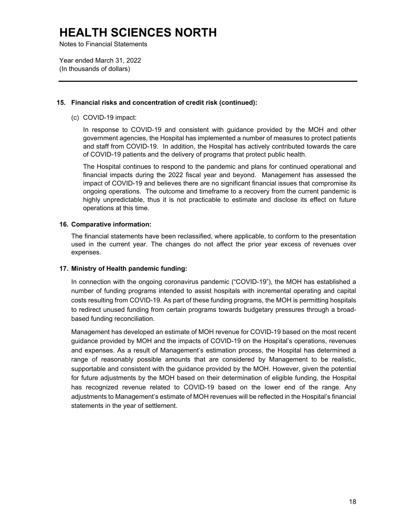Notes to Financial Statements

Year ended March 31, 2022 (In thousands of dollars)

#### **15. Financial risks and concentration of credit risk (continued):**

(c) COVID-19 impact:

In response to COVID-19 and consistent with guidance provided by the MOH and other government agencies, the Hospital has implemented a number of measures to protect patients and staff from COVID-19. In addition, the Hospital has actively contributed towards the care of COVID-19 patients and the delivery of programs that protect public health.

The Hospital continues to respond to the pandemic and plans for continued operational and financial impacts during the 2022 fiscal year and beyond. Management has assessed the impact of COVID-19 and believes there are no significant financial issues that compromise its ongoing operations. The outcome and timeframe to a recovery from the current pandemic is highly unpredictable, thus it is not practicable to estimate and disclose its effect on future operations at this time.

### **16. Comparative information:**

The financial statements have been reclassified, where applicable, to conform to the presentation used in the current year. The changes do not affect the prior year excess of revenues over expenses.

### **17. Ministry of Health pandemic funding:**

In connection with the ongoing coronavirus pandemic ("COVID-19"), the MOH has established a number of funding programs intended to assist hospitals with incremental operating and capital costs resulting from COVID-19. As part of these funding programs, the MOH is permitting hospitals to redirect unused funding from certain programs towards budgetary pressures through a broadbased funding reconciliation.

Management has developed an estimate of MOH revenue for COVID-19 based on the most recent guidance provided by MOH and the impacts of COVID-19 on the Hospital's operations, revenues and expenses. As a result of Management's estimation process, the Hospital has determined a range of reasonably possible amounts that are considered by Management to be realistic, supportable and consistent with the guidance provided by the MOH. However, given the potential for future adjustments by the MOH based on their determination of eligible funding, the Hospital has recognized revenue related to COVID-19 based on the lower end of the range. Any adjustments to Management's estimate of MOH revenues will be reflected in the Hospital's financial statements in the year of settlement.